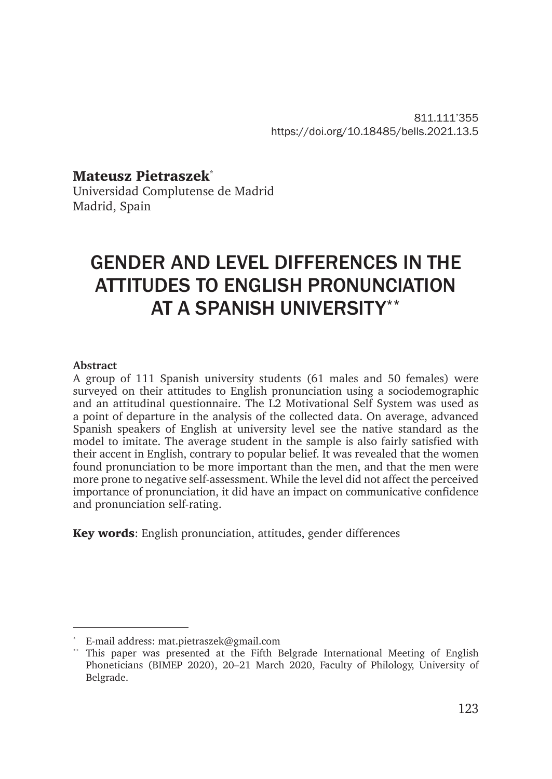811.111'355 https://doi.org/10.18485/bells.2021.13.5

Mateusz Pietraszek\* Universidad Complutense de Madrid Madrid, Spain

# GENDER AND LEVEL DIFFERENCES IN THE ATTITUDES TO ENGLISH PRONUNCIATION AT A SPANISH UNIVERSITY\*\*

#### **Abstract**

A group of 111 Spanish university students (61 males and 50 females) were surveyed on their attitudes to English pronunciation using a sociodemographic and an attitudinal questionnaire. The L2 Motivational Self System was used as a point of departure in the analysis of the collected data. On average, advanced Spanish speakers of English at university level see the native standard as the model to imitate. The average student in the sample is also fairly satisfied with their accent in English, contrary to popular belief. It was revealed that the women found pronunciation to be more important than the men, and that the men were more prone to negative self-assessment. While the level did not affect the perceived importance of pronunciation, it did have an impact on communicative confidence and pronunciation self-rating.

Key words: English pronunciation, attitudes, gender differences

E-mail address: mat.pietraszek@gmail.com

This paper was presented at the Fifth Belgrade International Meeting of English Phoneticians (BIMEP 2020), 20–21 March 2020, Faculty of Philology, University of Belgrade.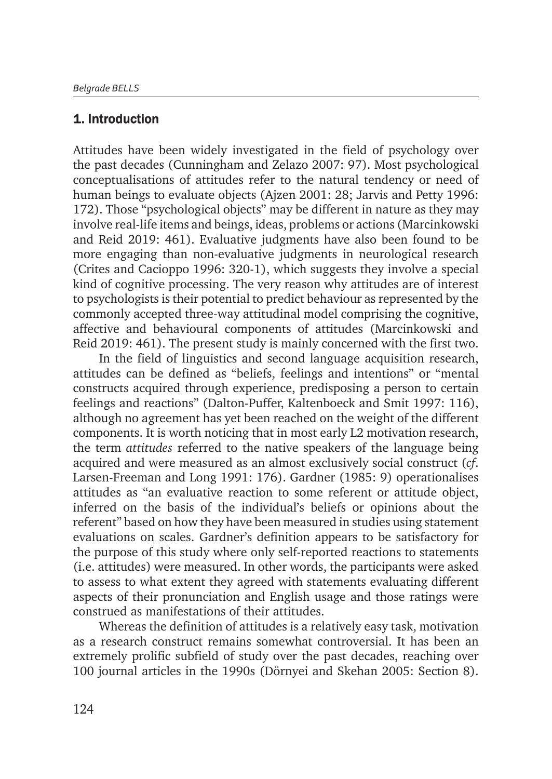### 1. Introduction

Attitudes have been widely investigated in the field of psychology over the past decades (Cunningham and Zelazo 2007: 97). Most psychological conceptualisations of attitudes refer to the natural tendency or need of human beings to evaluate objects (Ajzen 2001: 28; Jarvis and Petty 1996: 172). Those "psychological objects" may be different in nature as they may involve real-life items and beings, ideas, problems or actions (Marcinkowski and Reid 2019: 461). Evaluative judgments have also been found to be more engaging than non-evaluative judgments in neurological research (Crites and Cacioppo 1996: 320-1), which suggests they involve a special kind of cognitive processing. The very reason why attitudes are of interest to psychologists is their potential to predict behaviour as represented by the commonly accepted three-way attitudinal model comprising the cognitive, affective and behavioural components of attitudes (Marcinkowski and Reid 2019: 461). The present study is mainly concerned with the first two.

In the field of linguistics and second language acquisition research, attitudes can be defined as "beliefs, feelings and intentions" or "mental constructs acquired through experience, predisposing a person to certain feelings and reactions" (Dalton-Puffer, Kaltenboeck and Smit 1997: 116), although no agreement has yet been reached on the weight of the different components. It is worth noticing that in most early L2 motivation research, the term *attitudes* referred to the native speakers of the language being acquired and were measured as an almost exclusively social construct (*cf*. Larsen-Freeman and Long 1991: 176). Gardner (1985: 9) operationalises attitudes as "an evaluative reaction to some referent or attitude object, inferred on the basis of the individual's beliefs or opinions about the referent" based on how they have been measured in studies using statement evaluations on scales. Gardner's definition appears to be satisfactory for the purpose of this study where only self-reported reactions to statements (i.e. attitudes) were measured. In other words, the participants were asked to assess to what extent they agreed with statements evaluating different aspects of their pronunciation and English usage and those ratings were construed as manifestations of their attitudes.

Whereas the definition of attitudes is a relatively easy task, motivation as a research construct remains somewhat controversial. It has been an extremely prolific subfield of study over the past decades, reaching over 100 journal articles in the 1990s (Dörnyei and Skehan 2005: Section 8).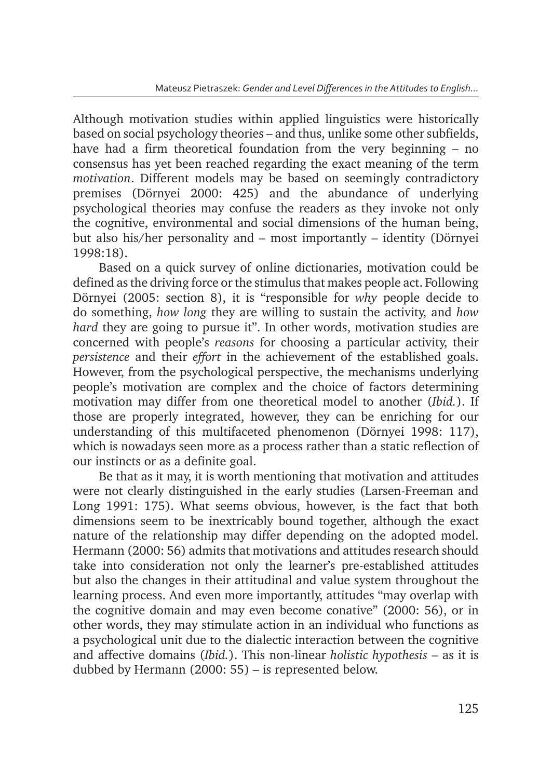Although motivation studies within applied linguistics were historically based on social psychology theories – and thus, unlike some other subfields, have had a firm theoretical foundation from the very beginning – no consensus has yet been reached regarding the exact meaning of the term *motivation*. Different models may be based on seemingly contradictory premises (Dörnyei 2000: 425) and the abundance of underlying psychological theories may confuse the readers as they invoke not only the cognitive, environmental and social dimensions of the human being, but also his/her personality and – most importantly – identity (Dörnyei 1998:18).

Based on a quick survey of online dictionaries, motivation could be defined as the driving force or the stimulus that makes people act. Following Dörnyei (2005: section 8), it is "responsible for *why* people decide to do something, *how long* they are willing to sustain the activity, and *how hard* they are going to pursue it". In other words, motivation studies are concerned with people's *reasons* for choosing a particular activity, their *persistence* and their *effort* in the achievement of the established goals. However, from the psychological perspective, the mechanisms underlying people's motivation are complex and the choice of factors determining motivation may differ from one theoretical model to another (*Ibid.*). If those are properly integrated, however, they can be enriching for our understanding of this multifaceted phenomenon (Dörnyei 1998: 117), which is nowadays seen more as a process rather than a static reflection of our instincts or as a definite goal.

Be that as it may, it is worth mentioning that motivation and attitudes were not clearly distinguished in the early studies (Larsen-Freeman and Long 1991: 175). What seems obvious, however, is the fact that both dimensions seem to be inextricably bound together, although the exact nature of the relationship may differ depending on the adopted model. Hermann (2000: 56) admits that motivations and attitudes research should take into consideration not only the learner's pre-established attitudes but also the changes in their attitudinal and value system throughout the learning process. And even more importantly, attitudes "may overlap with the cognitive domain and may even become conative" (2000: 56), or in other words, they may stimulate action in an individual who functions as a psychological unit due to the dialectic interaction between the cognitive and affective domains (*Ibid.*). This non-linear *holistic hypothesis* – as it is dubbed by Hermann (2000: 55) – is represented below.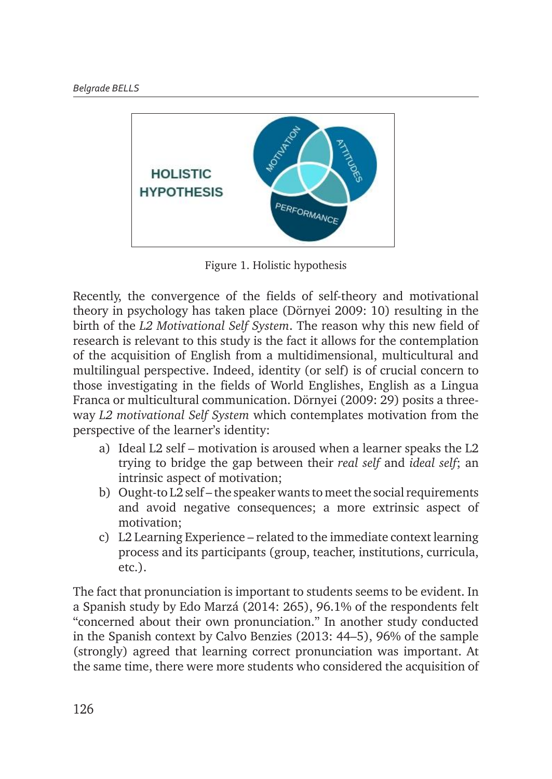

Figure 1. Holistic hypothesis

Recently, the convergence of the fields of self-theory and motivational theory in psychology has taken place (Dörnyei 2009: 10) resulting in the birth of the *L2 Motivational Self System*. The reason why this new field of has taken place (Dörnyei 2009: 10) resulting in the birth of the *L2 Motivational Self System*. The research is relevant to this study is the fact it allows for the contemplation of the acquisition of English from a multidimensional, multicultural and multilingual perspective. Indeed, identity (or self) is of crucial concern to those investigating in the fields of World Englishes, English as a Lingua Franca or multicultural communication. Dörnyei (2009: 29) posits a three-World Englishes, English as a Lingua Franca or multicultural communication. Dörnyei (2009: 29) way *L2 motivational Self System* which contemplates motivation from the perspective of the learner's identity:

- a) Ideal L2 self motivation is aroused when a learner speaks the L2 trying to bridge the gap between their *real self* and *ideal self*; an intrinsic aspect of motivation;
- b) Ought-to  $\overline{L2}$  self the speaker wants to meet the social requirements and avoid negative consequences; a more extrinsic aspect of motivation;
- c) L2 Learning Experience related to the immediate context learning process and its participants (group, teacher, institutions, curricula, etc.).

The fact that pronunciation is important to students seems to be evident. In a Spanish study by Edo Marzá (2014: 265), 96.1% of the respondents felt "concerned about their own pronunciation." In another study conducted in the Spanish context by Calvo Benzies (2013: 44–5), 96% of the sample (strongly) agreed that learning correct pronunciation was important. At the same time, there were more students who considered the acquisition of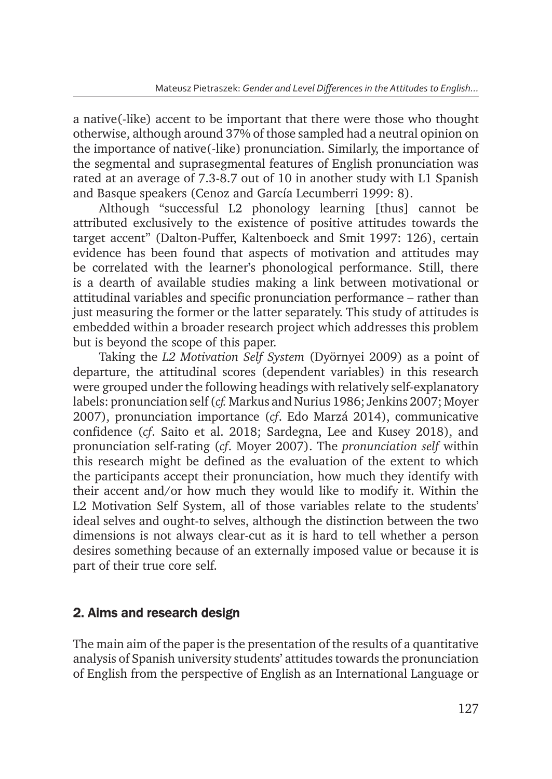a native(-like) accent to be important that there were those who thought otherwise, although around 37% of those sampled had a neutral opinion on the importance of native(-like) pronunciation. Similarly, the importance of the segmental and suprasegmental features of English pronunciation was rated at an average of 7.3-8.7 out of 10 in another study with L1 Spanish and Basque speakers (Cenoz and García Lecumberri 1999: 8).

Although "successful L2 phonology learning [thus] cannot be attributed exclusively to the existence of positive attitudes towards the target accent" (Dalton-Puffer, Kaltenboeck and Smit 1997: 126), certain evidence has been found that aspects of motivation and attitudes may be correlated with the learner's phonological performance. Still, there is a dearth of available studies making a link between motivational or attitudinal variables and specific pronunciation performance – rather than just measuring the former or the latter separately. This study of attitudes is embedded within a broader research project which addresses this problem but is beyond the scope of this paper.

Taking the *L2 Motivation Self System* (Dyörnyei 2009) as a point of departure, the attitudinal scores (dependent variables) in this research were grouped under the following headings with relatively self-explanatory labels: pronunciation self (*cf.* Markus and Nurius 1986; Jenkins 2007; Moyer 2007), pronunciation importance (*cf*. Edo Marzá 2014), communicative confidence (*cf*. Saito et al. 2018; Sardegna, Lee and Kusey 2018), and pronunciation self-rating (*cf*. Moyer 2007). The *pronunciation self* within this research might be defined as the evaluation of the extent to which the participants accept their pronunciation, how much they identify with their accent and/or how much they would like to modify it. Within the L2 Motivation Self System, all of those variables relate to the students' ideal selves and ought-to selves, although the distinction between the two dimensions is not always clear-cut as it is hard to tell whether a person desires something because of an externally imposed value or because it is part of their true core self.

## 2. Aims and research design

The main aim of the paper is the presentation of the results of a quantitative analysis of Spanish university students' attitudes towards the pronunciation of English from the perspective of English as an International Language or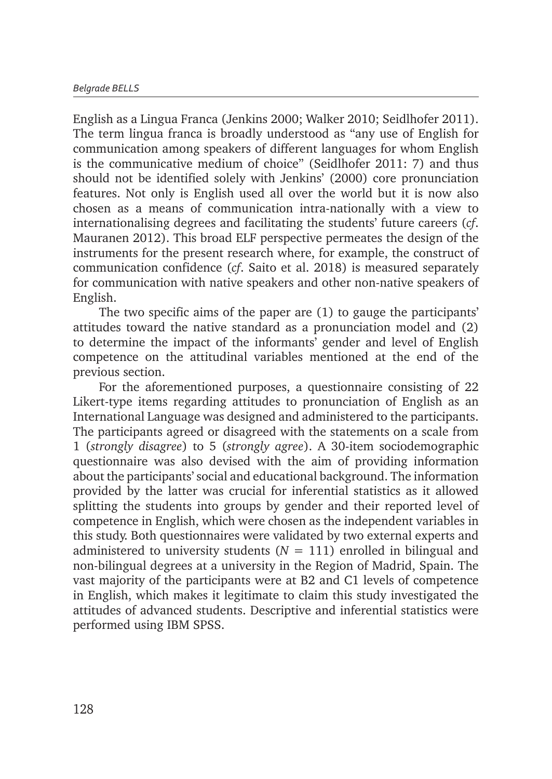English as a Lingua Franca (Jenkins 2000; Walker 2010; Seidlhofer 2011). The term lingua franca is broadly understood as "any use of English for communication among speakers of different languages for whom English is the communicative medium of choice" (Seidlhofer 2011: 7) and thus should not be identified solely with Jenkins' (2000) core pronunciation features. Not only is English used all over the world but it is now also chosen as a means of communication intra-nationally with a view to internationalising degrees and facilitating the students' future careers (*cf*. Mauranen 2012). This broad ELF perspective permeates the design of the instruments for the present research where, for example, the construct of communication confidence (*cf*. Saito et al. 2018) is measured separately for communication with native speakers and other non-native speakers of English.

The two specific aims of the paper are (1) to gauge the participants' attitudes toward the native standard as a pronunciation model and (2) to determine the impact of the informants' gender and level of English competence on the attitudinal variables mentioned at the end of the previous section.

For the aforementioned purposes, a questionnaire consisting of 22 Likert-type items regarding attitudes to pronunciation of English as an International Language was designed and administered to the participants. The participants agreed or disagreed with the statements on a scale from 1 (*strongly disagree*) to 5 (*strongly agree*). A 30-item sociodemographic questionnaire was also devised with the aim of providing information about the participants' social and educational background. The information provided by the latter was crucial for inferential statistics as it allowed splitting the students into groups by gender and their reported level of competence in English, which were chosen as the independent variables in this study. Both questionnaires were validated by two external experts and administered to university students  $(N = 111)$  enrolled in bilingual and non-bilingual degrees at a university in the Region of Madrid, Spain. The vast majority of the participants were at B2 and C1 levels of competence in English, which makes it legitimate to claim this study investigated the attitudes of advanced students. Descriptive and inferential statistics were performed using IBM SPSS.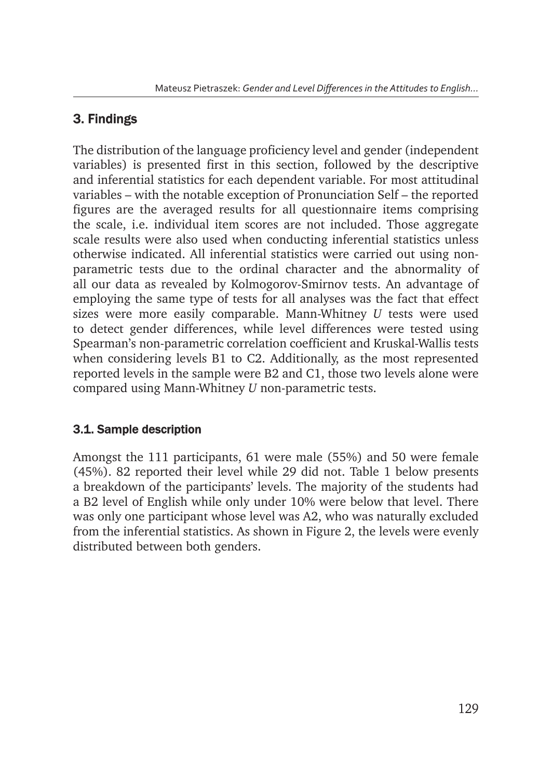## 3. Findings

The distribution of the language proficiency level and gender (independent variables) is presented first in this section, followed by the descriptive and inferential statistics for each dependent variable. For most attitudinal variables – with the notable exception of Pronunciation Self – the reported figures are the averaged results for all questionnaire items comprising the scale, i.e. individual item scores are not included. Those aggregate scale results were also used when conducting inferential statistics unless otherwise indicated. All inferential statistics were carried out using nonparametric tests due to the ordinal character and the abnormality of all our data as revealed by Kolmogorov-Smirnov tests. An advantage of employing the same type of tests for all analyses was the fact that effect sizes were more easily comparable. Mann-Whitney *U* tests were used to detect gender differences, while level differences were tested using Spearman's non-parametric correlation coefficient and Kruskal-Wallis tests when considering levels B1 to C2. Additionally, as the most represented reported levels in the sample were B2 and C1, those two levels alone were compared using Mann-Whitney *U* non-parametric tests.

### 3.1. Sample description

Amongst the 111 participants, 61 were male (55%) and 50 were female (45%). 82 reported their level while 29 did not. Table 1 below presents a breakdown of the participants' levels. The majority of the students had a B2 level of English while only under 10% were below that level. There was only one participant whose level was A2, who was naturally excluded from the inferential statistics. As shown in Figure 2, the levels were evenly distributed between both genders.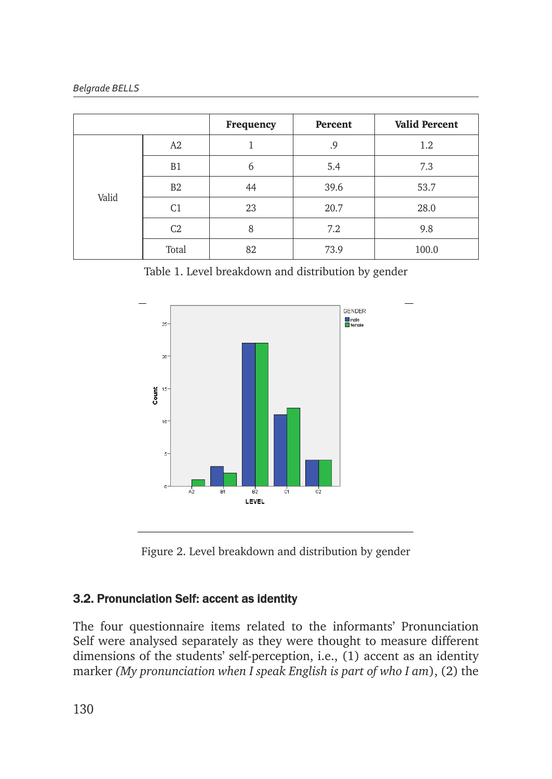| <b>Belgrade BELLS</b> |  |
|-----------------------|--|
|-----------------------|--|

|       |                | Frequency | Percent | <b>Valid Percent</b> |  |
|-------|----------------|-----------|---------|----------------------|--|
|       | A2             |           | .9      | 1.2                  |  |
|       | B1             | 6         | 5.4     | 7.3                  |  |
| Valid | B <sub>2</sub> | 44        | 39.6    | 53.7                 |  |
|       | C <sub>1</sub> | 23        | 20.7    | 28.0                 |  |
|       | C <sub>2</sub> | 8         | 7.2     | 9.8                  |  |
|       | Total          | 82        | 73.9    | 100.0                |  |

Table 1. Level breakdown and distribution by gender



Figure 2. Level breakdown and distribution by gender Figure 2. *Level breakdown and distribution by gender*

## 3.2. Pronunciation Self: accent as identity **3.2. Pronunciation Self: accent as identity**

The four questionnaire items related to the informants' Pronunciation Self were analysed separately as they were thought to measure different dimensions of the students' self-perception, i.e., (1) accent as an identity marker *(My pronunciation when I speak English is part of who I am*), (2) the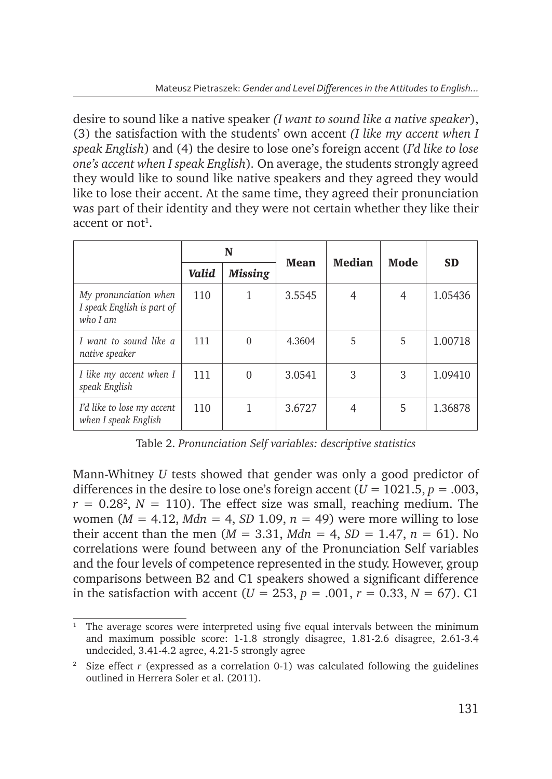desire to sound like a native speaker *(I want to sound like a native speaker*), (3) the satisfaction with the students' own accent *(I like my accent when I speak English*) and (4) the desire to lose one's foreign accent (*I'd like to lose one's accent when I speak English*)*.* On average, the students strongly agreed they would like to sound like native speakers and they agreed they would like to lose their accent. At the same time, they agreed their pronunciation was part of their identity and they were not certain whether they like their accent or not<sup>1</sup>.

|                                                                 |       | N<br><b>Mean</b> |        | <b>Median</b> | Mode | <b>SD</b> |
|-----------------------------------------------------------------|-------|------------------|--------|---------------|------|-----------|
|                                                                 | Valid | <b>Missing</b>   |        |               |      |           |
| My pronunciation when<br>I speak English is part of<br>who I am | 110   |                  | 3.5545 | 4             | 4    | 1.05436   |
| I want to sound like a<br>native speaker                        | 111   | $\mathbf 0$      | 4.3604 | 5             | 5    | 1.00718   |
| I like my accent when I<br>speak English                        | 111   | $\theta$         | 3.0541 | 3             | 3    | 1.09410   |
| I'd like to lose my accent<br>when I speak English              | 110   |                  | 3.6727 | 4             | 5    | 1.36878   |

Table 2. *Pronunciation Self variables: descriptive statistics*

Mann-Whitney *U* tests showed that gender was only a good predictor of differences in the desire to lose one's foreign accent  $(U = 1021.5, p = .003$ ,  $r = 0.28^2$ ,  $N = 110$ ). The effect size was small, reaching medium. The women ( $M = 4.12$ ,  $Mdn = 4$ ,  $SD$  1.09,  $n = 49$ ) were more willing to lose their accent than the men ( $M = 3.31$ ,  $Mdn = 4$ ,  $SD = 1.47$ ,  $n = 61$ ). No correlations were found between any of the Pronunciation Self variables and the four levels of competence represented in the study. However, group comparisons between B2 and C1 speakers showed a significant difference in the satisfaction with accent ( $U = 253$ ,  $p = .001$ ,  $r = 0.33$ ,  $N = 67$ ). C1

<sup>1</sup> The average scores were interpreted using five equal intervals between the minimum and maximum possible score: 1-1.8 strongly disagree, 1.81-2.6 disagree, 2.61-3.4 undecided, 3.41-4.2 agree, 4.21-5 strongly agree

<sup>&</sup>lt;sup>2</sup> Size effect  $r$  (expressed as a correlation 0-1) was calculated following the guidelines outlined in Herrera Soler et al. (2011).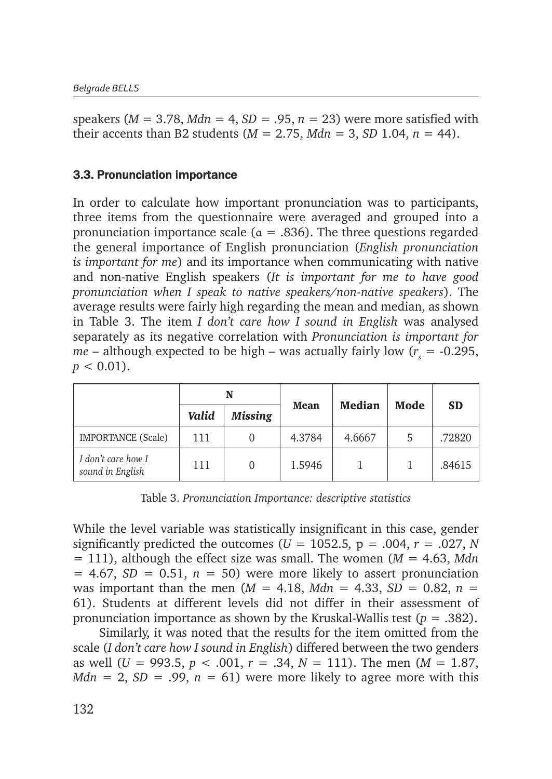speakers ( $M = 3.78$ ,  $Mdn = 4$ ,  $SD = .95$ ,  $n = 23$ ) were more satisfied with their accents than B2 students ( $M = 2.75$ ,  $Mdn = 3$ ,  $SD$  1.04,  $n = 44$ ).

#### 3.3. Pronunciation importance

In order to calculate how important pronunciation was to participants, three items from the questionnaire were averaged and grouped into a pronunciation importance scale ( $\alpha = .836$ ). The three questions regarded the general importance of English pronunciation (*English pronunciation is important for me*) and its importance when communicating with native and non-native English speakers (*It is important for me to have good pronunciation when I speak to native speakers/non-native speakers*). The average results were fairly high regarding the mean and median, as shown in Table 3. The item *I don't care how I sound in English* was analysed separately as its negative correlation with *Pronunciation is important for*   $me$  – although expected to be high – was actually fairly low ( $r<sub>s</sub>$  = -0.295,  $p < 0.01$ ).

|                                        |       | N              |        | Median | Mode | <b>SD</b> |
|----------------------------------------|-------|----------------|--------|--------|------|-----------|
|                                        | Valid | <b>Missing</b> | Mean   |        |      |           |
| <b>IMPORTANCE</b> (Scale)              | 111   |                | 4.3784 | 4.6667 |      | .72820    |
| I don't care how I<br>sound in English | 111   |                | 1.5946 |        |      | .84615    |

Table 3. *Pronunciation Importance: descriptive statistics*

While the level variable was statistically insignificant in this case, gender significantly predicted the outcomes ( $U = 1052.5$ ,  $p = .004$ ,  $r = .027$ , N  $= 111$ ), although the effect size was small. The women ( $M = 4.63$ , Mdn  $= 4.67$ ,  $SD = 0.51$ ,  $n = 50$ ) were more likely to assert pronunciation was important than the men ( $M = 4.18$ ,  $Mdn = 4.33$ ,  $SD = 0.82$ ,  $n =$ 61). Students at different levels did not differ in their assessment of pronunciation importance as shown by the Kruskal-Wallis test (*p* = .382).

Similarly, it was noted that the results for the item omitted from the scale (*I don't care how I sound in English*) differed between the two genders as well (*U* = 993.5, *p* < .001, *r* = .34, *N* = 111). The men (*M* = 1.87, *Mdn* = 2, *SD* = .99,  $n = 61$ ) were more likely to agree more with this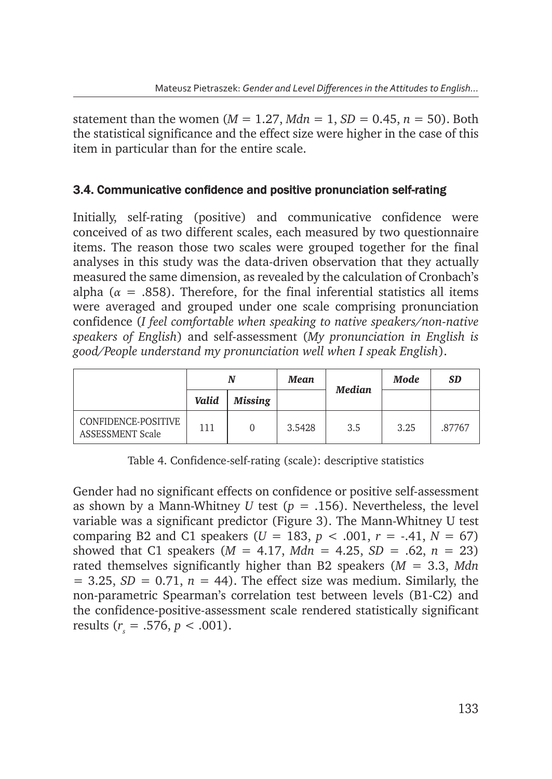statement than the women ( $M = 1.27$ ,  $Mdn = 1$ ,  $SD = 0.45$ ,  $n = 50$ ). Both the statistical significance and the effect size were higher in the case of this item in particular than for the entire scale.

### 3.4. Communicative confidence and positive pronunciation self-rating

Initially, self-rating (positive) and communicative confidence were conceived of as two different scales, each measured by two questionnaire items. The reason those two scales were grouped together for the final analyses in this study was the data-driven observation that they actually measured the same dimension, as revealed by the calculation of Cronbach's alpha ( $\alpha$  = .858). Therefore, for the final inferential statistics all items were averaged and grouped under one scale comprising pronunciation confidence (*I feel comfortable when speaking to native speakers/non-native speakers of English*) and self-assessment (*My pronunciation in English is good/People understand my pronunciation well when I speak English*).

|                                                |       |                | Mean   | Median | <b>Mode</b> | <b>SD</b> |
|------------------------------------------------|-------|----------------|--------|--------|-------------|-----------|
|                                                | Valid | <b>Missing</b> |        |        |             |           |
| CONFIDENCE-POSITIVE<br><b>ASSESSMENT Scale</b> | 111   |                | 3.5428 | 3.5    | 3.25        | .87767    |

Table 4. Confidence-self-rating (scale): descriptive statistics

Gender had no significant effects on confidence or positive self-assessment as shown by a Mann-Whitney *U* test ( $p = .156$ ). Nevertheless, the level variable was a significant predictor (Figure 3). The Mann-Whitney U test comparing B2 and C1 speakers  $(U = 183, p < .001, r = .41, N = 67)$ showed that C1 speakers ( $M = 4.17$ ,  $Mdn = 4.25$ ,  $SD = .62$ ,  $n = 23$ ) rated themselves significantly higher than B2 speakers (*M* = 3.3, *Mdn*  $= 3.25$ , *SD* = 0.71, *n* = 44). The effect size was medium. Similarly, the non-parametric Spearman's correlation test between levels (B1-C2) and the confidence-positive-assessment scale rendered statistically significant results  $(r_s = .576, p < .001)$ .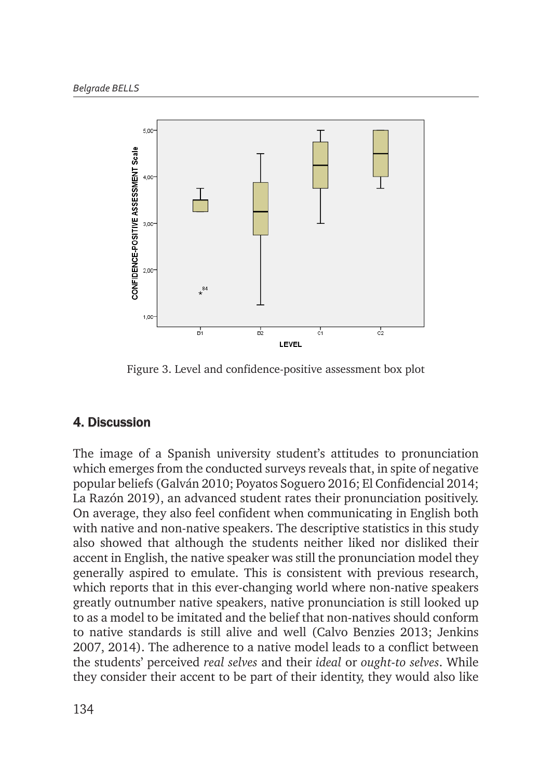

Figure 3. Level and confidence-positive assessment box plot Figure 3. *Level and confidence-positive assessment box plot* 

## 4. Discussion

The image of a Spanish university student's attitudes to pronunciation which emerges from the conducted surveys reveals that, in spite of negative popular beliefs (Galván 2010; Poyatos Soguero 2016; El Confidencial 2014;<br>La Revéa 2010; Poyatos de la Revelación de la Revelación de la Revelación de la Revelación de la Revelación La Razón 2019), an advanced student rates their pronunciation positively. On average, they also feel confident when communicating in English both with native and non-native speakers. The descriptive statistics in this study with hadve and non-hadve speakers. The descriptive statistics in this study<br>also showed that although the students neither liked nor disliked their accent in English, the native speaker was still the pronunciation model they generally aspired to emulate. This is consistent with previous research, which reports that in this ever-changing world where non-native speakers greatly outnumber native speakers, native pronunciation is still looked up to as a model to be imitated and the belief that non-natives should conform to native standards is still alive and well (Calvo Benzies 2013; Jenkins 2007, 2014). The adherence to a native model leads to a conflict between the students' perceived *real selves* and their *ideal* or *ought-to selves*. While they consider their accent to be part of their identity, they would also like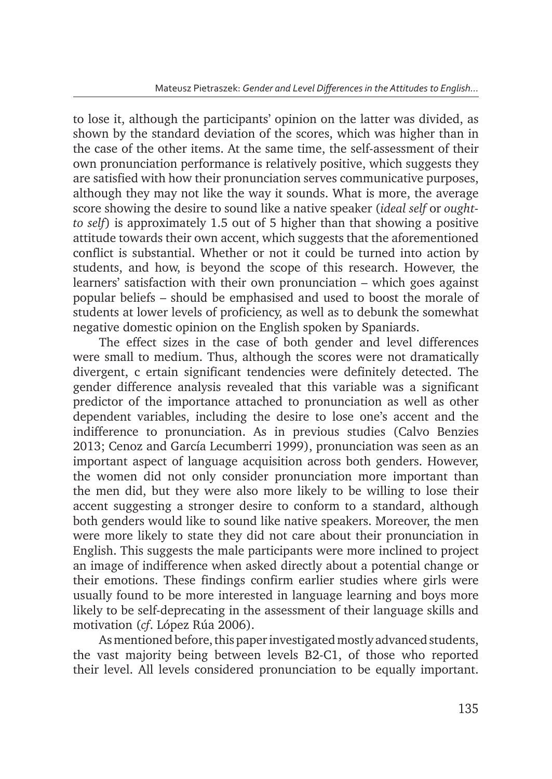to lose it, although the participants' opinion on the latter was divided, as shown by the standard deviation of the scores, which was higher than in the case of the other items. At the same time, the self-assessment of their own pronunciation performance is relatively positive, which suggests they are satisfied with how their pronunciation serves communicative purposes, although they may not like the way it sounds. What is more, the average score showing the desire to sound like a native speaker (*ideal self* or *oughtto self*) is approximately 1.5 out of 5 higher than that showing a positive attitude towards their own accent, which suggests that the aforementioned conflict is substantial. Whether or not it could be turned into action by students, and how, is beyond the scope of this research. However, the learners' satisfaction with their own pronunciation – which goes against popular beliefs – should be emphasised and used to boost the morale of students at lower levels of proficiency, as well as to debunk the somewhat negative domestic opinion on the English spoken by Spaniards.

The effect sizes in the case of both gender and level differences were small to medium. Thus, although the scores were not dramatically divergent, c ertain significant tendencies were definitely detected. The gender difference analysis revealed that this variable was a significant predictor of the importance attached to pronunciation as well as other dependent variables, including the desire to lose one's accent and the indifference to pronunciation. As in previous studies (Calvo Benzies 2013; Cenoz and García Lecumberri 1999), pronunciation was seen as an important aspect of language acquisition across both genders. However, the women did not only consider pronunciation more important than the men did, but they were also more likely to be willing to lose their accent suggesting a stronger desire to conform to a standard, although both genders would like to sound like native speakers. Moreover, the men were more likely to state they did not care about their pronunciation in English. This suggests the male participants were more inclined to project an image of indifference when asked directly about a potential change or their emotions. These findings confirm earlier studies where girls were usually found to be more interested in language learning and boys more likely to be self-deprecating in the assessment of their language skills and motivation (*cf*. López Rúa 2006).

As mentioned before, this paper investigated mostly advanced students, the vast majority being between levels B2-C1, of those who reported their level. All levels considered pronunciation to be equally important.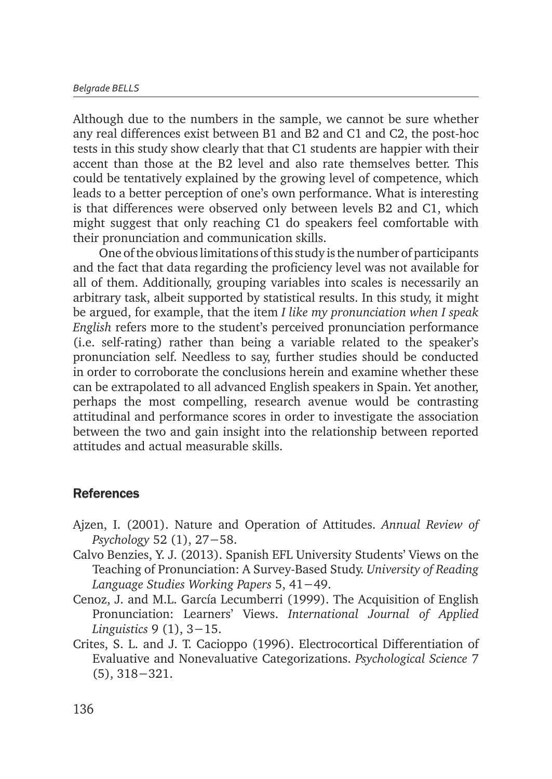Although due to the numbers in the sample, we cannot be sure whether any real differences exist between B1 and B2 and C1 and C2, the post-hoc tests in this study show clearly that that C1 students are happier with their accent than those at the B2 level and also rate themselves better. This could be tentatively explained by the growing level of competence, which leads to a better perception of one's own performance. What is interesting is that differences were observed only between levels B2 and C1, which might suggest that only reaching C1 do speakers feel comfortable with their pronunciation and communication skills.

One of the obvious limitations of this study is the number of participants and the fact that data regarding the proficiency level was not available for all of them. Additionally, grouping variables into scales is necessarily an arbitrary task, albeit supported by statistical results. In this study, it might be argued, for example, that the item *I like my pronunciation when I speak English* refers more to the student's perceived pronunciation performance (i.e. self-rating) rather than being a variable related to the speaker's pronunciation self. Needless to say, further studies should be conducted in order to corroborate the conclusions herein and examine whether these can be extrapolated to all advanced English speakers in Spain. Yet another, perhaps the most compelling, research avenue would be contrasting attitudinal and performance scores in order to investigate the association between the two and gain insight into the relationship between reported attitudes and actual measurable skills.

### **References**

- Ajzen, I. (2001). Nature and Operation of Attitudes. *Annual Review of Psychology* 52 (1), 27−58.
- Calvo Benzies, Y. J. (2013). Spanish EFL University Students' Views on the Teaching of Pronunciation: A Survey-Based Study. *University of Reading Language Studies Working Papers* 5, 41−49.
- Cenoz, J. and M.L. García Lecumberri (1999). The Acquisition of English Pronunciation: Learners' Views. *International Journal of Applied Linguistics* 9 (1), 3−15.
- Crites, S. L. and J. T. Cacioppo (1996). Electrocortical Differentiation of Evaluative and Nonevaluative Categorizations. *Psychological Science* 7 (5), 318−321.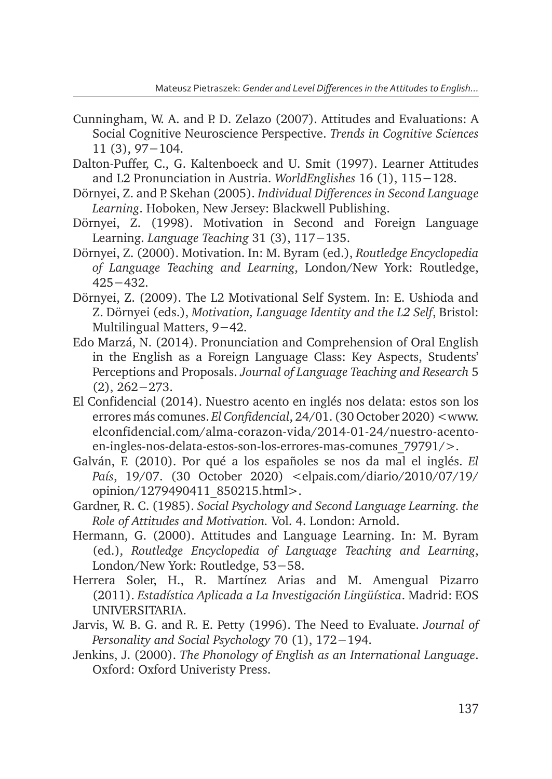- Cunningham, W. A. and P. D. Zelazo (2007). Attitudes and Evaluations: A Social Cognitive Neuroscience Perspective. *Trends in Cognitive Sciences*  11 (3), 97−104.
- Dalton-Puffer, C., G. Kaltenboeck and U. Smit (1997). Learner Attitudes and L2 Pronunciation in Austria. *WorldEnglishes* 16 (1), 115−128.
- Dörnyei, Z. and P. Skehan (2005). *Individual Differences in Second Language Learning*. Hoboken, New Jersey: Blackwell Publishing.
- Dörnyei, Z. (1998). Motivation in Second and Foreign Language Learning. *Language Teaching* 31 (3), 117−135.
- Dörnyei, Z. (2000). Motivation. In: M. Byram (ed.), *Routledge Encyclopedia of Language Teaching and Learning*, London/New York: Routledge, 425−432.
- Dörnyei, Z. (2009). The L2 Motivational Self System. In: E. Ushioda and Z. Dörnyei (eds.), *Motivation, Language Identity and the L2 Self*, Bristol: Multilingual Matters, 9−42.
- Edo Marzá, N. (2014). Pronunciation and Comprehension of Oral English in the English as a Foreign Language Class: Key Aspects, Students' Perceptions and Proposals. *Journal of Language Teaching and Research* 5 (2), 262−273.
- El Confidencial (2014). Nuestro acento en inglés nos delata: estos son los errores más comunes. *El Confidencial*, 24/01. (30 October 2020) <www. elconfidencial.com/alma-corazon-vida/2014-01-24/nuestro-acentoen-ingles-nos-delata-estos-son-los-errores-mas-comunes\_79791/>.
- Galván, F. (2010). Por qué a los españoles se nos da mal el inglés. *El País*, 19/07. (30 October 2020) <elpais.com/diario/2010/07/19/ opinion/1279490411\_850215.html>.
- Gardner, R. C. (1985). *Social Psychology and Second Language Learning. the Role of Attitudes and Motivation.* Vol. 4. London: Arnold.
- Hermann, G. (2000). Attitudes and Language Learning. In: M. Byram (ed.), *Routledge Encyclopedia of Language Teaching and Learning*, London/New York: Routledge, 53−58.
- Herrera Soler, H., R. Martínez Arias and M. Amengual Pizarro (2011). *Estadística Aplicada a La Investigación Lingüística*. Madrid: EOS UNIVERSITARIA.
- Jarvis, W. B. G. and R. E. Petty (1996). The Need to Evaluate. *Journal of Personality and Social Psychology* 70 (1), 172−194.
- Jenkins, J. (2000). *The Phonology of English as an International Language*. Oxford: Oxford Univeristy Press.